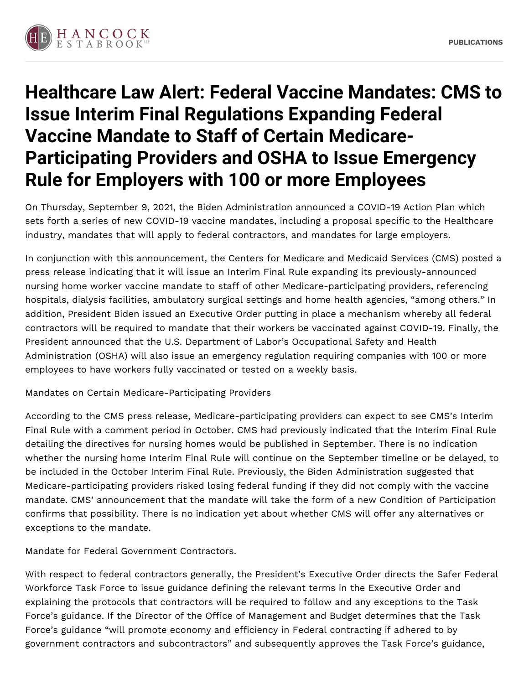

## **Healthcare Law Alert: Federal Vaccine Mandates: CMS to Issue Interim Final Regulations Expanding Federal Vaccine Mandate to Staff of Certain Medicare-Participating Providers and OSHA to Issue Emergency Rule for Employers with 100 or more Employees**

On Thursday, September 9, 2021, the Biden Administration announced a COVID-19 Action Plan which sets forth a series of new COVID-19 vaccine mandates, including a proposal specific to the Healthcare industry, mandates that will apply to federal contractors, and mandates for large employers.

In conjunction with this announcement, the Centers for Medicare and Medicaid Services (CMS) posted a press release indicating that it will issue an Interim Final Rule expanding its previously-announced nursing home worker vaccine mandate to staff of other Medicare-participating providers, referencing hospitals, dialysis facilities, ambulatory surgical settings and home health agencies, "among others." In addition, President Biden issued an Executive Order putting in place a mechanism whereby all federal contractors will be required to mandate that their workers be vaccinated against COVID-19. Finally, the President announced that the U.S. Department of Labor's Occupational Safety and Health Administration (OSHA) will also issue an emergency regulation requiring companies with 100 or more employees to have workers fully vaccinated or tested on a weekly basis.

Mandates on Certain Medicare-Participating Providers

According to the CMS press release, Medicare-participating providers can expect to see CMS's Interim Final Rule with a comment period in October. CMS had previously indicated that the Interim Final Rule detailing the directives for nursing homes would be published in September. There is no indication whether the nursing home Interim Final Rule will continue on the September timeline or be delayed, to be included in the October Interim Final Rule. Previously, the Biden Administration suggested that Medicare-participating providers risked losing federal funding if they did not comply with the vaccine mandate. CMS' announcement that the mandate will take the form of a new Condition of Participation confirms that possibility. There is no indication yet about whether CMS will offer any alternatives or exceptions to the mandate.

Mandate for Federal Government Contractors.

With respect to federal contractors generally, the President's Executive Order directs the Safer Federal Workforce Task Force to issue guidance defining the relevant terms in the Executive Order and explaining the protocols that contractors will be required to follow and any exceptions to the Task Force's guidance. If the Director of the Office of Management and Budget determines that the Task Force's guidance "will promote economy and efficiency in Federal contracting if adhered to by government contractors and subcontractors" and subsequently approves the Task Force's guidance,